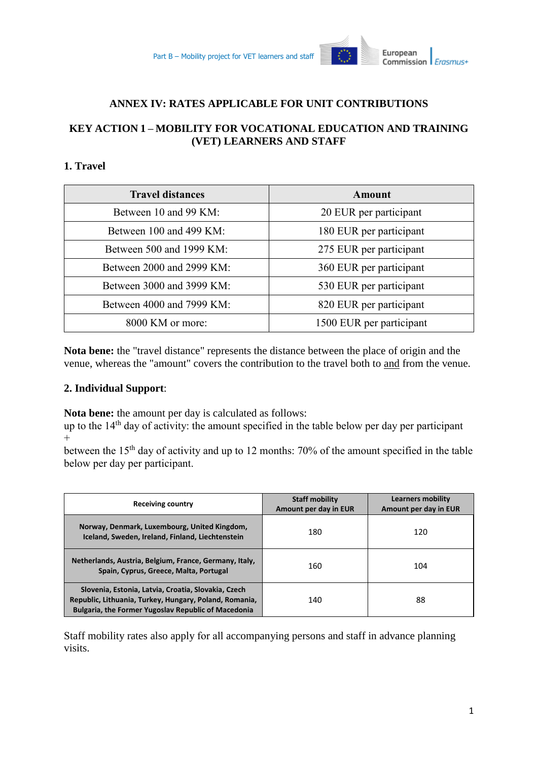

### **ANNEX IV: RATES APPLICABLE FOR UNIT CONTRIBUTIONS**

# **KEY ACTION 1 – MOBILITY FOR VOCATIONAL EDUCATION AND TRAINING (VET) LEARNERS AND STAFF**

# **1. Travel**

| <b>Travel distances</b>   | Amount                   |  |
|---------------------------|--------------------------|--|
| Between 10 and 99 KM:     | 20 EUR per participant   |  |
| Between 100 and 499 KM:   | 180 EUR per participant  |  |
| Between 500 and 1999 KM:  | 275 EUR per participant  |  |
| Between 2000 and 2999 KM: | 360 EUR per participant  |  |
| Between 3000 and 3999 KM: | 530 EUR per participant  |  |
| Between 4000 and 7999 KM: | 820 EUR per participant  |  |
| 8000 KM or more:          | 1500 EUR per participant |  |

**Nota bene:** the "travel distance" represents the distance between the place of origin and the venue, whereas the "amount" covers the contribution to the travel both to and from the venue.

#### **2. Individual Support**:

**Nota bene:** the amount per day is calculated as follows:

up to the 14<sup>th</sup> day of activity: the amount specified in the table below per day per participant  $^{+}$ 

between the 15<sup>th</sup> day of activity and up to 12 months: 70% of the amount specified in the table below per day per participant.

| <b>Receiving country</b>                                                                                                                                                    | <b>Staff mobility</b><br>Amount per day in EUR | <b>Learners mobility</b><br>Amount per day in EUR |
|-----------------------------------------------------------------------------------------------------------------------------------------------------------------------------|------------------------------------------------|---------------------------------------------------|
| Norway, Denmark, Luxembourg, United Kingdom,<br>Iceland, Sweden, Ireland, Finland, Liechtenstein                                                                            | 180                                            | 120                                               |
| Netherlands, Austria, Belgium, France, Germany, Italy,<br>Spain, Cyprus, Greece, Malta, Portugal                                                                            | 160                                            | 104                                               |
| Slovenia, Estonia, Latvia, Croatia, Slovakia, Czech<br>Republic, Lithuania, Turkey, Hungary, Poland, Romania,<br><b>Bulgaria, the Former Yugoslav Republic of Macedonia</b> | 140                                            | 88                                                |

Staff mobility rates also apply for all accompanying persons and staff in advance planning visits.